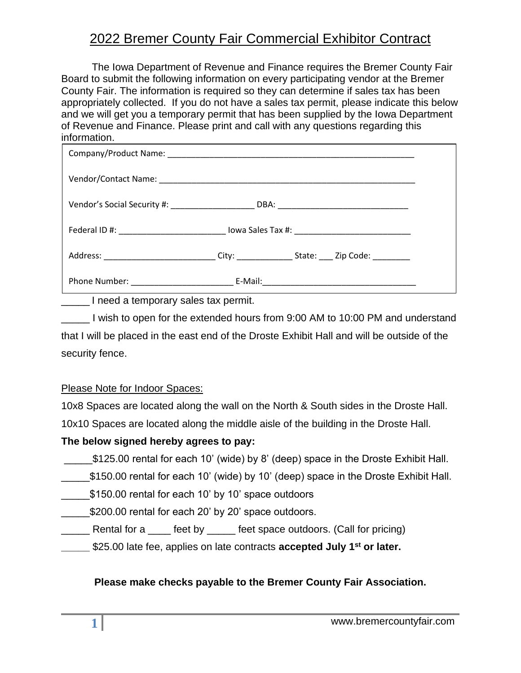## 2022 Bremer County Fair Commercial Exhibitor Contract

The Iowa Department of Revenue and Finance requires the Bremer County Fair Board to submit the following information on every participating vendor at the Bremer County Fair. The information is required so they can determine if sales tax has been appropriately collected. If you do not have a sales tax permit, please indicate this below and we will get you a temporary permit that has been supplied by the Iowa Department of Revenue and Finance. Please print and call with any questions regarding this information.

| Federal ID #: _________________________________ lowa Sales Tax #: __________________________________ |  |                                                                 |
|------------------------------------------------------------------------------------------------------|--|-----------------------------------------------------------------|
|                                                                                                      |  | City: ______________________State: ______ Zip Code: ___________ |
| Phone Number: E-Mail: E-Mail:                                                                        |  |                                                                 |

 $\hbox{\large \sf [1]}\quad$  I need a temporary sales tax permit.

\_\_\_\_\_ I wish to open for the extended hours from 9:00 AM to 10:00 PM and understand that I will be placed in the east end of the Droste Exhibit Hall and will be outside of the security fence.

### Please Note for Indoor Spaces:

10x8 Spaces are located along the wall on the North & South sides in the Droste Hall. 10x10 Spaces are located along the middle aisle of the building in the Droste Hall.

### **The below signed hereby agrees to pay:**

- \_\_\_\_\_\$125.00 rental for each 10' (wide) by 8' (deep) space in the Droste Exhibit Hall.
- \_\_\_\_\_\$150.00 rental for each 10' (wide) by 10' (deep) space in the Droste Exhibit Hall.
- \_\_\_\_\_\$150.00 rental for each 10' by 10' space outdoors
- \$200.00 rental for each 20' by 20' space outdoors.
- **EXECUTE:** Rental for a <u>equal feet by equal feet space outdoors.</u> (Call for pricing)
- **\_\_\_\_\_** \$25.00 late fee, applies on late contracts **accepted July 1 st or later.**

### **Please make checks payable to the Bremer County Fair Association.**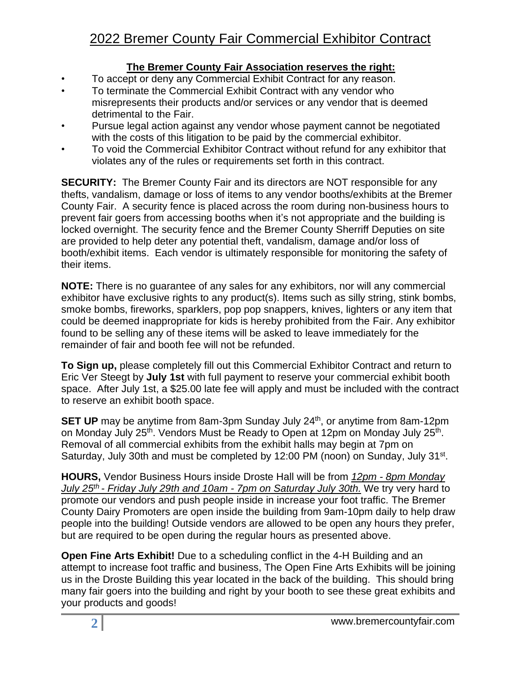## **The Bremer County Fair Association reserves the right:**

- To accept or deny any Commercial Exhibit Contract for any reason.
- To terminate the Commercial Exhibit Contract with any vendor who misrepresents their products and/or services or any vendor that is deemed detrimental to the Fair.
- Pursue legal action against any vendor whose payment cannot be negotiated with the costs of this litigation to be paid by the commercial exhibitor.
- To void the Commercial Exhibitor Contract without refund for any exhibitor that violates any of the rules or requirements set forth in this contract.

**SECURITY:** The Bremer County Fair and its directors are NOT responsible for any thefts, vandalism, damage or loss of items to any vendor booths/exhibits at the Bremer County Fair. A security fence is placed across the room during non-business hours to prevent fair goers from accessing booths when it's not appropriate and the building is locked overnight. The security fence and the Bremer County Sherriff Deputies on site are provided to help deter any potential theft, vandalism, damage and/or loss of booth/exhibit items. Each vendor is ultimately responsible for monitoring the safety of their items.

**NOTE:** There is no guarantee of any sales for any exhibitors, nor will any commercial exhibitor have exclusive rights to any product(s). Items such as silly string, stink bombs, smoke bombs, fireworks, sparklers, pop pop snappers, knives, lighters or any item that could be deemed inappropriate for kids is hereby prohibited from the Fair. Any exhibitor found to be selling any of these items will be asked to leave immediately for the remainder of fair and booth fee will not be refunded.

**To Sign up,** please completely fill out this Commercial Exhibitor Contract and return to Eric Ver Steegt by **July 1st** with full payment to reserve your commercial exhibit booth space. After July 1st, a \$25.00 late fee will apply and must be included with the contract to reserve an exhibit booth space.

**SET UP** may be anytime from 8am-3pm Sunday July 24<sup>th</sup>, or anytime from 8am-12pm on Monday July 25<sup>th</sup>. Vendors Must be Ready to Open at 12pm on Monday July 25<sup>th</sup>. Removal of all commercial exhibits from the exhibit halls may begin at 7pm on Saturday, July 30th and must be completed by 12:00 PM (noon) on Sunday, July 31<sup>st</sup>.

**HOURS,** Vendor Business Hours inside Droste Hall will be from *12pm - 8pm Monday July 25 th - Friday July 29th and 10am - 7pm on Saturday July 30th.* We try very hard to promote our vendors and push people inside in increase your foot traffic. The Bremer County Dairy Promoters are open inside the building from 9am-10pm daily to help draw people into the building! Outside vendors are allowed to be open any hours they prefer, but are required to be open during the regular hours as presented above.

**Open Fine Arts Exhibit!** Due to a scheduling conflict in the 4-H Building and an attempt to increase foot traffic and business, The Open Fine Arts Exhibits will be joining us in the Droste Building this year located in the back of the building. This should bring many fair goers into the building and right by your booth to see these great exhibits and your products and goods!